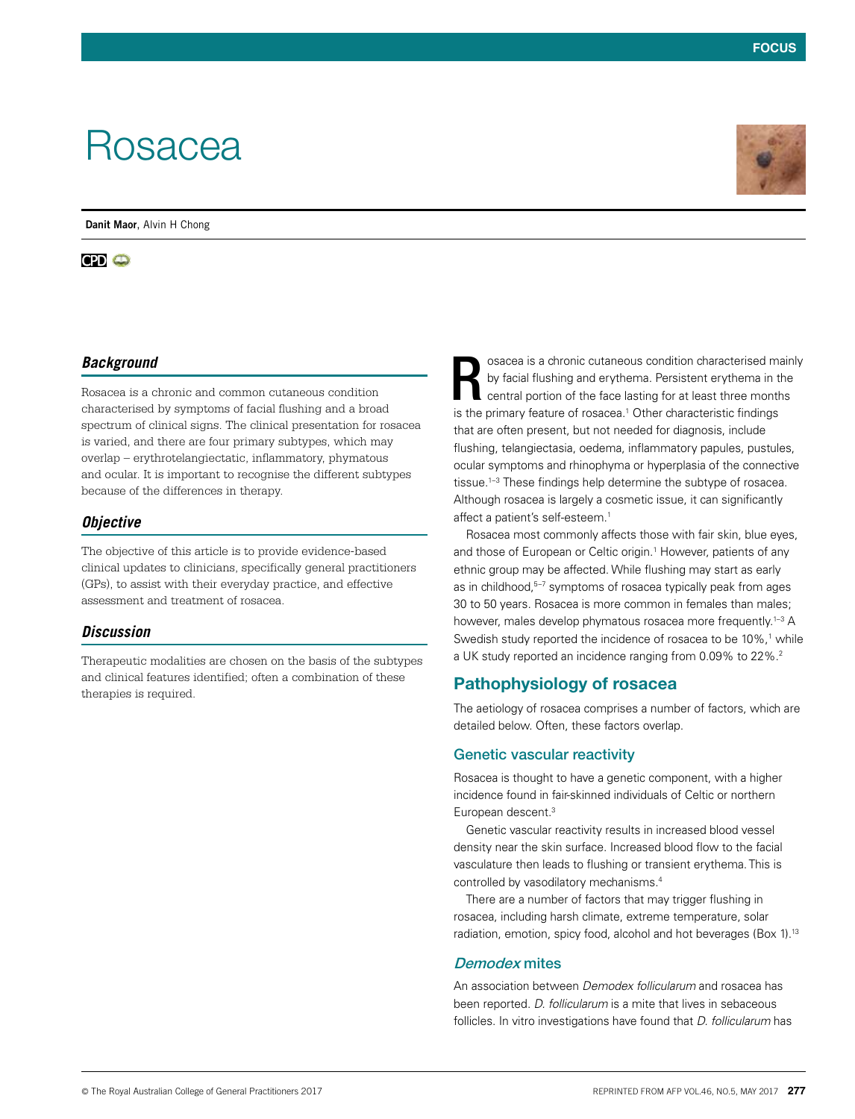# Rosacea

**Danit Maor**, Alvin H Chong

# **CPD @**

## *Background*

Rosacea is a chronic and common cutaneous condition characterised by symptoms of facial flushing and a broad spectrum of clinical signs. The clinical presentation for rosacea is varied, and there are four primary subtypes, which may overlap – erythrotelangiectatic, inflammatory, phymatous and ocular. It is important to recognise the different subtypes because of the differences in therapy.

#### *Objective*

The objective of this article is to provide evidence-based clinical updates to clinicians, specifically general practitioners (GPs), to assist with their everyday practice, and effective assessment and treatment of rosacea.

#### *Discussion*

Therapeutic modalities are chosen on the basis of the subtypes and clinical features identified; often a combination of these therapies is required.

osacea is a chronic cutaneous condition characterised mainly by facial flushing and erythema. Persistent erythema in the central portion of the face lasting for at least three months is the primary feature of rosacea.<sup>1</sup> Other characteristic findings that are often present, but not needed for diagnosis, include flushing, telangiectasia, oedema, inflammatory papules, pustules, ocular symptoms and rhinophyma or hyperplasia of the connective tissue.<sup>1-3</sup> These findings help determine the subtype of rosacea. Although rosacea is largely a cosmetic issue, it can significantly affect a patient's self-esteem.<sup>1</sup> R

Rosacea most commonly affects those with fair skin, blue eyes, and those of European or Celtic origin.<sup>1</sup> However, patients of any ethnic group may be affected. While flushing may start as early as in childhood,<sup>5-7</sup> symptoms of rosacea typically peak from ages 30 to 50 years. Rosacea is more common in females than males; however, males develop phymatous rosacea more frequently.<sup>1-3</sup> A Swedish study reported the incidence of rosacea to be 10%,<sup>1</sup> while a UK study reported an incidence ranging from 0.09% to 22%.2

# Pathophysiology of rosacea

The aetiology of rosacea comprises a number of factors, which are detailed below. Often, these factors overlap.

#### Genetic vascular reactivity

Rosacea is thought to have a genetic component, with a higher incidence found in fair-skinned individuals of Celtic or northern European descent.<sup>3</sup>

Genetic vascular reactivity results in increased blood vessel density near the skin surface. Increased blood flow to the facial vasculature then leads to flushing or transient erythema. This is controlled by vasodilatory mechanisms.4

There are a number of factors that may trigger flushing in rosacea, including harsh climate, extreme temperature, solar radiation, emotion, spicy food, alcohol and hot beverages (Box 1).<sup>13</sup>

#### Demodex mites

An association between *Demodex follicularum* and rosacea has been reported. *D. follicularum* is a mite that lives in sebaceous follicles. In vitro investigations have found that *D. follicularum* has

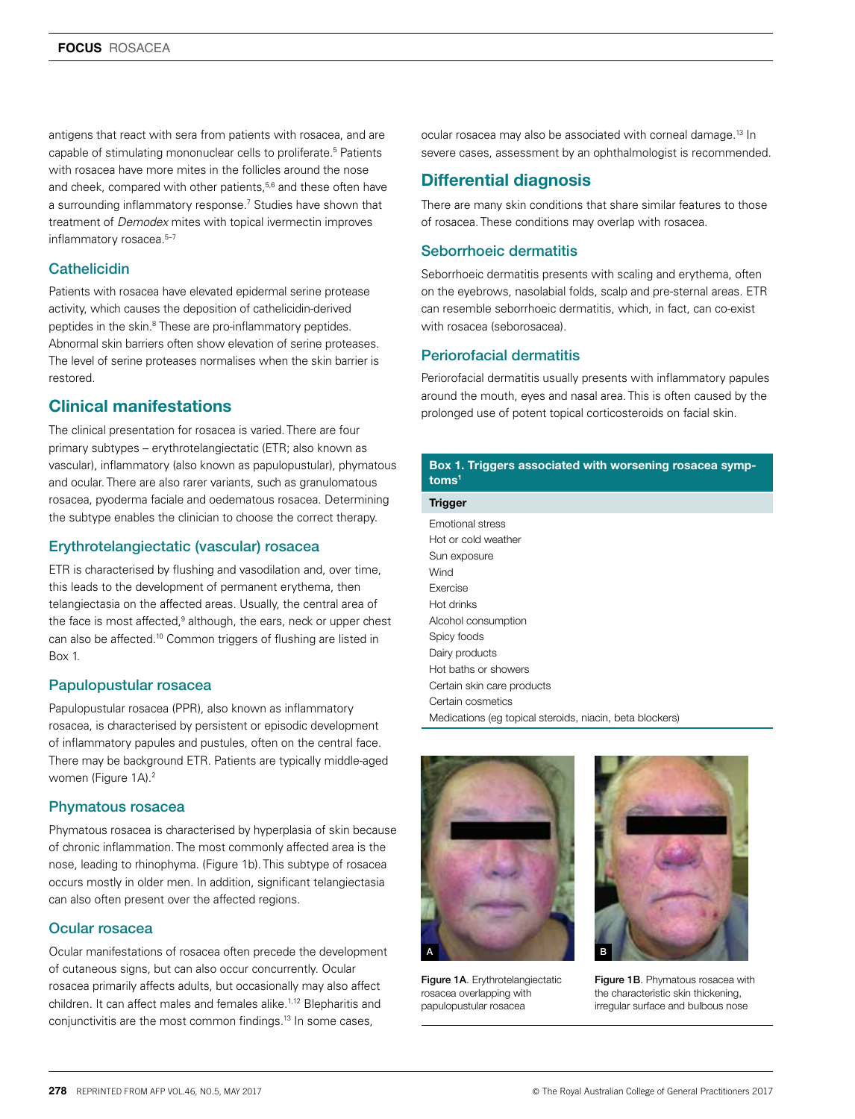antigens that react with sera from patients with rosacea, and are capable of stimulating mononuclear cells to proliferate.<sup>5</sup> Patients with rosacea have more mites in the follicles around the nose and cheek, compared with other patients,<sup>5,6</sup> and these often have a surrounding inflammatory response.7 Studies have shown that treatment of *Demodex* mites with topical ivermectin improves inflammatory rosacea.<sup>5-7</sup>

#### **Cathelicidin**

Patients with rosacea have elevated epidermal serine protease activity, which causes the deposition of cathelicidin-derived peptides in the skin.<sup>8</sup> These are pro-inflammatory peptides. Abnormal skin barriers often show elevation of serine proteases. The level of serine proteases normalises when the skin barrier is restored.

# Clinical manifestations

The clinical presentation for rosacea is varied. There are four primary subtypes – erythrotelangiectatic (ETR; also known as vascular), inflammatory (also known as papulopustular), phymatous and ocular. There are also rarer variants, such as granulomatous rosacea, pyoderma faciale and oedematous rosacea. Determining the subtype enables the clinician to choose the correct therapy.

## Erythrotelangiectatic (vascular) rosacea

ETR is characterised by flushing and vasodilation and, over time, this leads to the development of permanent erythema, then telangiectasia on the affected areas. Usually, the central area of the face is most affected,<sup>9</sup> although, the ears, neck or upper chest can also be affected.<sup>10</sup> Common triggers of flushing are listed in Box 1.

#### Papulopustular rosacea

Papulopustular rosacea (PPR), also known as inflammatory rosacea, is characterised by persistent or episodic development of inflammatory papules and pustules, often on the central face. There may be background ETR. Patients are typically middle-aged women (Figure 1A).2

#### Phymatous rosacea

Phymatous rosacea is characterised by hyperplasia of skin because of chronic inflammation. The most commonly affected area is the nose, leading to rhinophyma. (Figure 1b). This subtype of rosacea occurs mostly in older men. In addition, significant telangiectasia can also often present over the affected regions.

#### Ocular rosacea

Ocular manifestations of rosacea often precede the development of cutaneous signs, but can also occur concurrently. Ocular rosacea primarily affects adults, but occasionally may also affect children. It can affect males and females alike.<sup>1,12</sup> Blepharitis and conjunctivitis are the most common findings.<sup>13</sup> In some cases,

ocular rosacea may also be associated with corneal damage.13 In severe cases, assessment by an ophthalmologist is recommended.

# Differential diagnosis

There are many skin conditions that share similar features to those of rosacea. These conditions may overlap with rosacea.

#### Seborrhoeic dermatitis

Seborrhoeic dermatitis presents with scaling and erythema, often on the eyebrows, nasolabial folds, scalp and pre-sternal areas. ETR can resemble seborrhoeic dermatitis, which, in fact, can co-exist with rosacea (seborosacea).

#### Periorofacial dermatitis

Periorofacial dermatitis usually presents with inflammatory papules around the mouth, eyes and nasal area. This is often caused by the prolonged use of potent topical corticosteroids on facial skin.

#### Box 1. Triggers associated with worsening rosacea symptoms<sup>1</sup>

**Trigger** 

Emotional stress Hot or cold weather Sun exposure Wind Exercise Hot drinks Alcohol consumption Spicy foods Dairy products Hot baths or showers Certain skin care products Certain cosmetics Medications (eg topical steroids, niacin, beta blockers)



Figure 1A. Erythrotelangiectatic rosacea overlapping with papulopustular rosacea



Figure 1B. Phymatous rosacea with the characteristic skin thickening, irregular surface and bulbous nose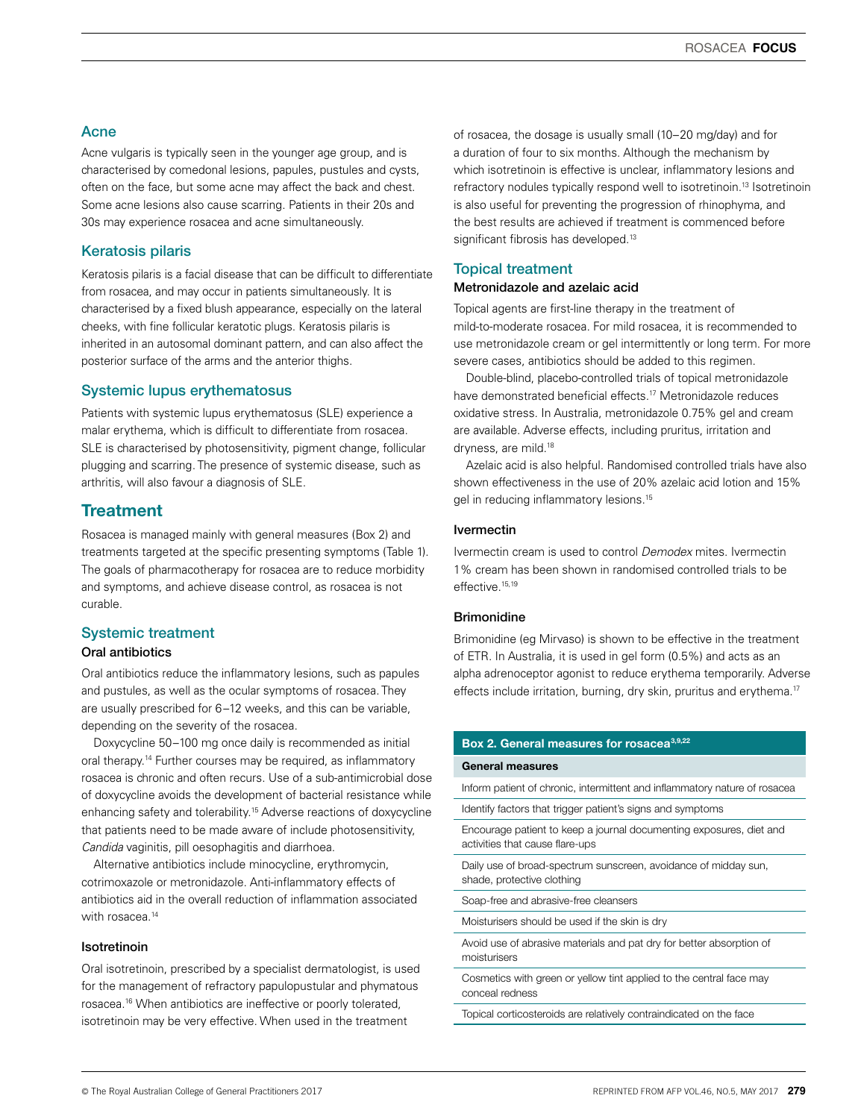#### Acne

Acne vulgaris is typically seen in the younger age group, and is characterised by comedonal lesions, papules, pustules and cysts, often on the face, but some acne may affect the back and chest. Some acne lesions also cause scarring. Patients in their 20s and 30s may experience rosacea and acne simultaneously.

#### Keratosis pilaris

Keratosis pilaris is a facial disease that can be difficult to differentiate from rosacea, and may occur in patients simultaneously. It is characterised by a fixed blush appearance, especially on the lateral cheeks, with fine follicular keratotic plugs. Keratosis pilaris is inherited in an autosomal dominant pattern, and can also affect the posterior surface of the arms and the anterior thighs.

#### Systemic lupus erythematosus

Patients with systemic lupus erythematosus (SLE) experience a malar erythema, which is difficult to differentiate from rosacea. SLE is characterised by photosensitivity, pigment change, follicular plugging and scarring. The presence of systemic disease, such as arthritis, will also favour a diagnosis of SLE.

# **Treatment**

Rosacea is managed mainly with general measures (Box 2) and treatments targeted at the specific presenting symptoms (Table 1). The goals of pharmacotherapy for rosacea are to reduce morbidity and symptoms, and achieve disease control, as rosacea is not curable.

# Systemic treatment

#### Oral antibiotics

Oral antibiotics reduce the inflammatory lesions, such as papules and pustules, as well as the ocular symptoms of rosacea. They are usually prescribed for 6–12 weeks, and this can be variable, depending on the severity of the rosacea.

Doxycycline 50–100 mg once daily is recommended as initial oral therapy.14 Further courses may be required, as inflammatory rosacea is chronic and often recurs. Use of a sub-antimicrobial dose of doxycycline avoids the development of bacterial resistance while enhancing safety and tolerability.<sup>15</sup> Adverse reactions of doxycycline that patients need to be made aware of include photosensitivity, *Candida* vaginitis, pill oesophagitis and diarrhoea.

Alternative antibiotics include minocycline, erythromycin, cotrimoxazole or metronidazole. Anti-inflammatory effects of antibiotics aid in the overall reduction of inflammation associated with rosacea.<sup>14</sup>

#### Isotretinoin

Oral isotretinoin, prescribed by a specialist dermatologist, is used for the management of refractory papulopustular and phymatous rosacea.16 When antibiotics are ineffective or poorly tolerated, isotretinoin may be very effective. When used in the treatment

of rosacea, the dosage is usually small (10–20 mg/day) and for a duration of four to six months. Although the mechanism by which isotretinoin is effective is unclear, inflammatory lesions and refractory nodules typically respond well to isotretinoin.<sup>13</sup> Isotretinoin is also useful for preventing the progression of rhinophyma, and the best results are achieved if treatment is commenced before significant fibrosis has developed.<sup>13</sup>

#### Topical treatment

#### Metronidazole and azelaic acid

Topical agents are first-line therapy in the treatment of mild-to-moderate rosacea. For mild rosacea, it is recommended to use metronidazole cream or gel intermittently or long term. For more severe cases, antibiotics should be added to this regimen.

Double-blind, placebo-controlled trials of topical metronidazole have demonstrated beneficial effects.<sup>17</sup> Metronidazole reduces oxidative stress. In Australia, metronidazole 0.75% gel and cream are available. Adverse effects, including pruritus, irritation and dryness, are mild.18

Azelaic acid is also helpful. Randomised controlled trials have also shown effectiveness in the use of 20% azelaic acid lotion and 15% gel in reducing inflammatory lesions.15

#### Ivermectin

Ivermectin cream is used to control *Demodex* mites. Ivermectin 1% cream has been shown in randomised controlled trials to be effective.<sup>15,19</sup>

#### **Brimonidine**

Brimonidine (eg Mirvaso) is shown to be effective in the treatment of ETR. In Australia, it is used in gel form (0.5%) and acts as an alpha adrenoceptor agonist to reduce erythema temporarily. Adverse effects include irritation, burning, dry skin, pruritus and erythema.<sup>17</sup>

| Box 2. General measures for rosacea <sup>3,9,22</sup>                                                  |  |  |  |  |  |
|--------------------------------------------------------------------------------------------------------|--|--|--|--|--|
| <b>General measures</b>                                                                                |  |  |  |  |  |
| Inform patient of chronic, intermittent and inflammatory nature of rosacea                             |  |  |  |  |  |
| Identify factors that trigger patient's signs and symptoms                                             |  |  |  |  |  |
| Encourage patient to keep a journal documenting exposures, diet and<br>activities that cause flare-ups |  |  |  |  |  |
| Daily use of broad-spectrum sunscreen, avoidance of midday sun,<br>shade, protective clothing          |  |  |  |  |  |
| Soap-free and abrasive-free cleansers                                                                  |  |  |  |  |  |
| Moisturisers should be used if the skin is dry                                                         |  |  |  |  |  |
| Avoid use of abrasive materials and pat dry for better absorption of<br>moisturisers                   |  |  |  |  |  |
| Cosmetics with green or yellow tint applied to the central face may<br>conceal redness                 |  |  |  |  |  |
| Topical corticosteroids are relatively contraindicated on the face                                     |  |  |  |  |  |
|                                                                                                        |  |  |  |  |  |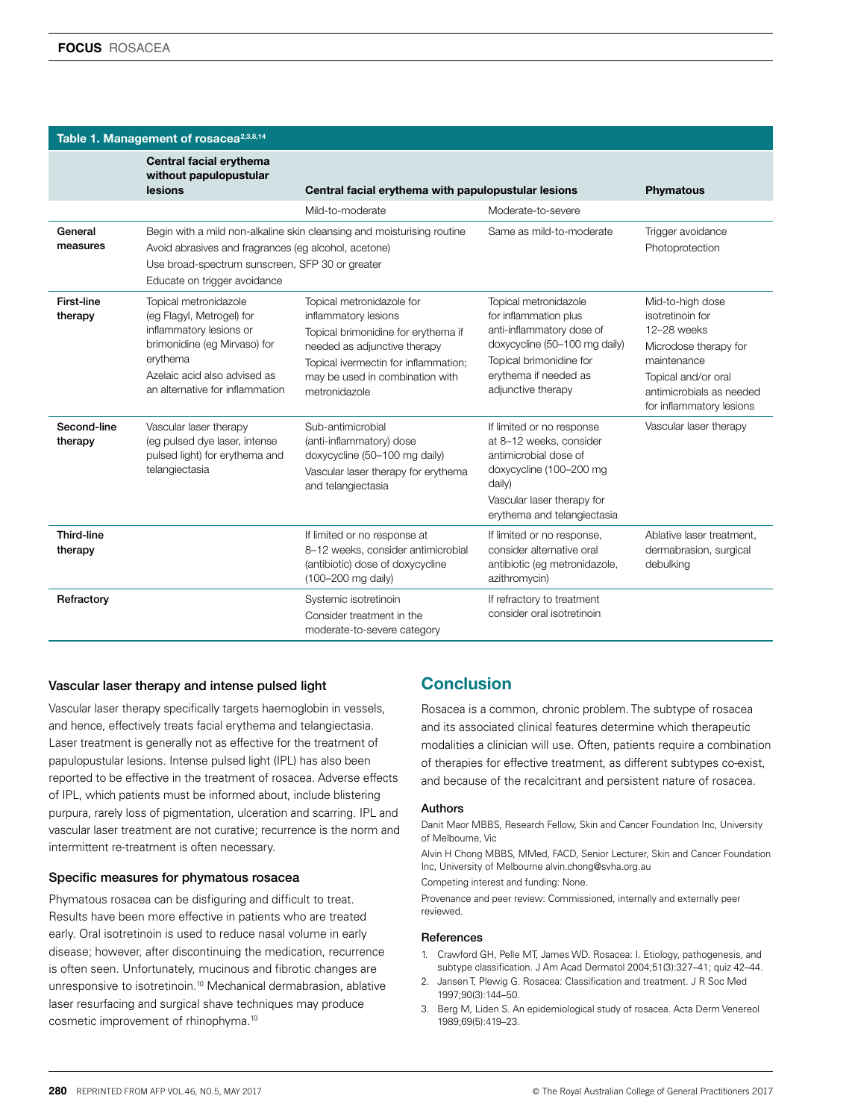| Table 1. Management of rosacea <sup>2,3,8,14</sup> |                                                                                                                                                                                              |                                                                                                                                                                                                                      |                                                                                                                                                                                        |                                                                                                                                                                            |  |
|----------------------------------------------------|----------------------------------------------------------------------------------------------------------------------------------------------------------------------------------------------|----------------------------------------------------------------------------------------------------------------------------------------------------------------------------------------------------------------------|----------------------------------------------------------------------------------------------------------------------------------------------------------------------------------------|----------------------------------------------------------------------------------------------------------------------------------------------------------------------------|--|
|                                                    | Central facial erythema<br>without papulopustular<br>lesions                                                                                                                                 | Central facial erythema with papulopustular lesions                                                                                                                                                                  |                                                                                                                                                                                        | <b>Phymatous</b>                                                                                                                                                           |  |
|                                                    |                                                                                                                                                                                              | Mild-to-moderate                                                                                                                                                                                                     | Moderate-to-severe                                                                                                                                                                     |                                                                                                                                                                            |  |
| General<br>measures                                | Avoid abrasives and fragrances (eg alcohol, acetone)<br>Use broad-spectrum sunscreen, SFP 30 or greater<br>Educate on trigger avoidance                                                      | Begin with a mild non-alkaline skin cleansing and moisturising routine                                                                                                                                               | Same as mild-to-moderate                                                                                                                                                               | Trigger avoidance<br>Photoprotection                                                                                                                                       |  |
| First-line<br>therapy                              | Topical metronidazole<br>(eg Flagyl, Metrogel) for<br>inflammatory lesions or<br>brimonidine (eg Mirvaso) for<br>erythema<br>Azelaic acid also advised as<br>an alternative for inflammation | Topical metronidazole for<br>inflammatory lesions<br>Topical brimonidine for erythema if<br>needed as adjunctive therapy<br>Topical ivermectin for inflammation;<br>may be used in combination with<br>metronidazole | Topical metronidazole<br>for inflammation plus<br>anti-inflammatory dose of<br>doxycycline (50-100 mg daily)<br>Topical brimonidine for<br>erythema if needed as<br>adjunctive therapy | Mid-to-high dose<br>isotretinoin for<br>12-28 weeks<br>Microdose therapy for<br>maintenance<br>Topical and/or oral<br>antimicrobials as needed<br>for inflammatory lesions |  |
| Second-line<br>therapy                             | Vascular laser therapy<br>(eg pulsed dye laser, intense<br>pulsed light) for erythema and<br>telangiectasia                                                                                  | Sub-antimicrobial<br>(anti-inflammatory) dose<br>doxycycline (50-100 mg daily)<br>Vascular laser therapy for erythema<br>and telangiectasia                                                                          | If limited or no response<br>at 8-12 weeks, consider<br>antimicrobial dose of<br>doxycycline (100-200 mg<br>daily)<br>Vascular laser therapy for<br>erythema and telangiectasia        | Vascular laser therapy                                                                                                                                                     |  |
| <b>Third-line</b><br>therapy                       |                                                                                                                                                                                              | If limited or no response at<br>8-12 weeks, consider antimicrobial<br>(antibiotic) dose of doxycycline<br>(100-200 mg daily)                                                                                         | If limited or no response,<br>consider alternative oral<br>antibiotic (eg metronidazole,<br>azithromycin)                                                                              | Ablative laser treatment.<br>dermabrasion, surgical<br>debulking                                                                                                           |  |
| Refractory                                         |                                                                                                                                                                                              | Systemic isotretinoin<br>Consider treatment in the<br>moderate-to-severe category                                                                                                                                    | If refractory to treatment<br>consider oral isotretinoin                                                                                                                               |                                                                                                                                                                            |  |

#### Vascular laser therapy and intense pulsed light

Vascular laser therapy specifically targets haemoglobin in vessels, and hence, effectively treats facial erythema and telangiectasia. Laser treatment is generally not as effective for the treatment of papulopustular lesions. Intense pulsed light (IPL) has also been reported to be effective in the treatment of rosacea. Adverse effects of IPL, which patients must be informed about, include blistering purpura, rarely loss of pigmentation, ulceration and scarring. IPL and vascular laser treatment are not curative; recurrence is the norm and intermittent re-treatment is often necessary.

#### Specific measures for phymatous rosacea

Phymatous rosacea can be disfiguring and difficult to treat. Results have been more effective in patients who are treated early. Oral isotretinoin is used to reduce nasal volume in early disease; however, after discontinuing the medication, recurrence is often seen. Unfortunately, mucinous and fibrotic changes are unresponsive to isotretinoin.10 Mechanical dermabrasion, ablative laser resurfacing and surgical shave techniques may produce cosmetic improvement of rhinophyma.10

# Conclusion

Rosacea is a common, chronic problem. The subtype of rosacea and its associated clinical features determine which therapeutic modalities a clinician will use. Often, patients require a combination of therapies for effective treatment, as different subtypes co-exist, and because of the recalcitrant and persistent nature of rosacea.

#### Authors

Danit Maor MBBS, Research Fellow, Skin and Cancer Foundation Inc, University of Melbourne, Vic

Alvin H Chong MBBS, MMed, FACD, Senior Lecturer, Skin and Cancer Foundation Inc, University of Melbourne alvin.chong@svha.org.au

Competing interest and funding: None.

Provenance and peer review: Commissioned, internally and externally peer reviewed.

#### **References**

- 1. Crawford GH, Pelle MT, James WD. Rosacea: I. Etiology, pathogenesis, and subtype classification. J Am Acad Dermatol 2004;51(3):327–41; quiz 42–44.
- 2. Jansen T, Plewig G. Rosacea: Classification and treatment. J R Soc Med 1997;90(3):144–50.
- 3. Berg M, Liden S. An epidemiological study of rosacea. Acta Derm Venereol 1989;69(5):419–23.